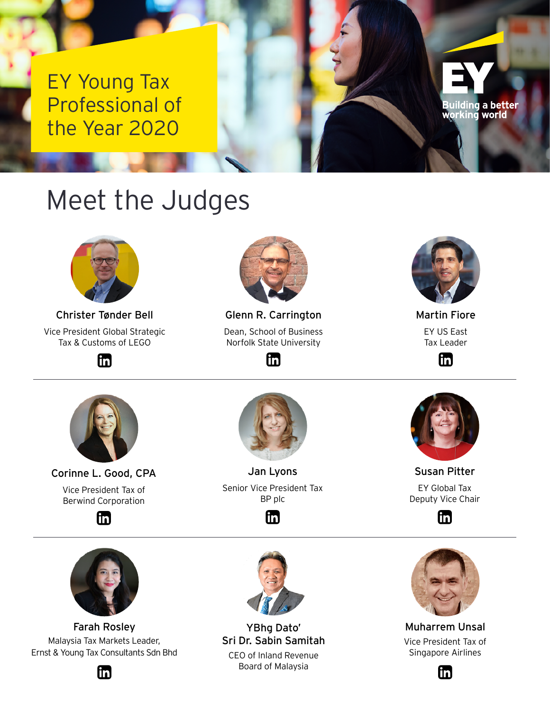EY Young Tax Professional of the Year 2020

## Meet the Judges



Christer Tønder Bell Vice President Global Strategic Tax & Customs of LEGO

lin)



Glenn R. Carrington Dean, School of Business Norfolk State University

lin)



Building a better<br>working world

Martin Fiore EY US East Tax Leader

m



Corinne L. Good, CPA Vice President Tax of Berwind Corporation

Ín



Jan Lyons Senior Vice President Tax BP plc





Susan Pitter EY Global Tax Deputy Vice Chair

Ín



Farah Rosley Malaysia Tax Markets Leader, Ernst & Young Tax Consultants Sdn Bhd





YBhg Dato' Sri Dr. Sabin Samitah CEO of Inland Revenue Board of Malaysia



Muharrem Unsal Vice President Tax of Singapore Airlines